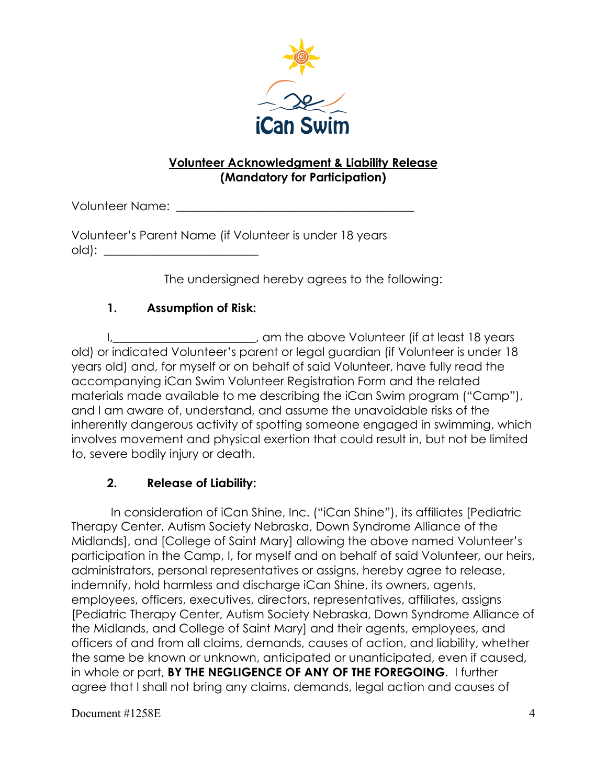

## **Volunteer Acknowledgment & Liability Release (Mandatory for Participation)**

Volunteer Name:

Volunteer's Parent Name (if Volunteer is under 18 years  $old)$ :

The undersigned hereby agrees to the following:

## **1. Assumption of Risk:**

I,\_\_\_\_\_\_\_\_\_\_\_\_\_\_\_\_\_\_\_\_\_\_\_\_, am the above Volunteer (if at least 18 years old) or indicated Volunteer's parent or legal guardian (if Volunteer is under 18 years old) and, for myself or on behalf of said Volunteer, have fully read the accompanying iCan Swim Volunteer Registration Form and the related materials made available to me describing the iCan Swim program ("Camp"), and I am aware of, understand, and assume the unavoidable risks of the inherently dangerous activity of spotting someone engaged in swimming, which involves movement and physical exertion that could result in, but not be limited to, severe bodily injury or death.

## **2. Release of Liability:**

 In consideration of iCan Shine, Inc. ("iCan Shine"), its affiliates [Pediatric Therapy Center, Autism Society Nebraska, Down Syndrome Alliance of the Midlands], and [College of Saint Mary] allowing the above named Volunteer's participation in the Camp, I, for myself and on behalf of said Volunteer, our heirs, administrators, personal representatives or assigns, hereby agree to release, indemnify, hold harmless and discharge iCan Shine, its owners, agents, employees, officers, executives, directors, representatives, affiliates, assigns [Pediatric Therapy Center, Autism Society Nebraska, Down Syndrome Alliance of the Midlands, and College of Saint Mary] and their agents, employees, and officers of and from all claims, demands, causes of action, and liability, whether the same be known or unknown, anticipated or unanticipated, even if caused, in whole or part, **BY THE NEGLIGENCE OF ANY OF THE FOREGOING**. I further agree that I shall not bring any claims, demands, legal action and causes of

Document #1258E 4